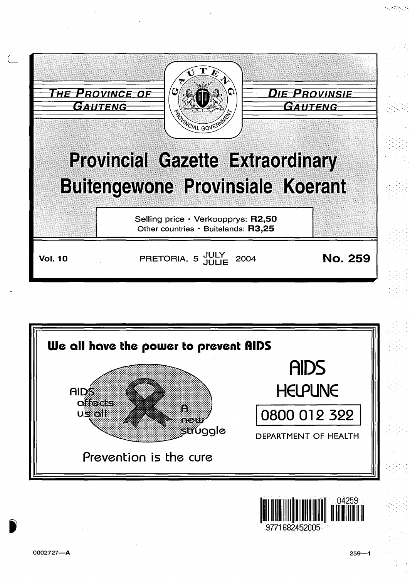



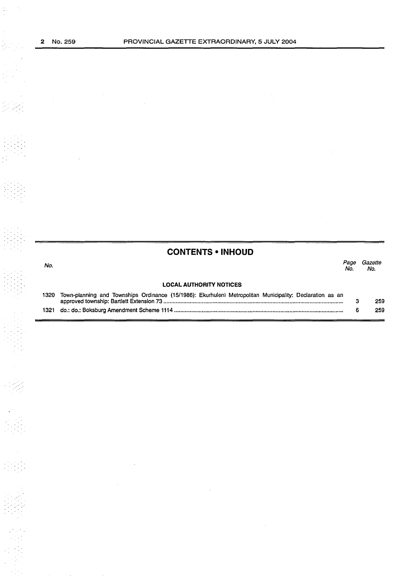# **CONTENTS • INHOUD**

| No.                            |                                                                                                          | Page<br>No. | Gazette<br>No. |
|--------------------------------|----------------------------------------------------------------------------------------------------------|-------------|----------------|
| <b>LOCAL AUTHORITY NOTICES</b> |                                                                                                          |             |                |
| 1320                           | Town-planning and Townships Ordinance (15/1986): Ekurhuleni Metropolitan Municipality: Declaration as an |             | 259            |
| 1321                           |                                                                                                          |             | 259            |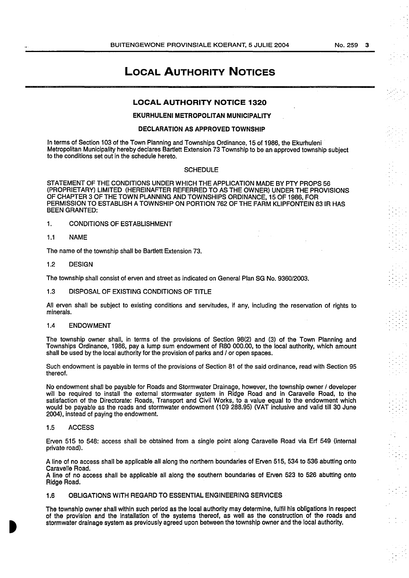#### No.259 3

# LOCAL AUTHORITY NOTICES

## LOCAL AUTHORITY NOTICE 1320

## EKURHULENI METROPOLITAN MUNICIPALITY

### DECLARATION AS APPROVED TOWNSHIP

In terms of Section 103 of the Town Planning and Townships Ordinance, 15 of 1986, the Ekurhuleni Metropolitan Municipality hereby declares Bartlett Extension 73 Township to be an approved township subject to the conditions set out in the schedule hereto.

## **SCHEDULE**

STATEMENT OF THE CONDITIONS UNDER WHICH THE APPLICATION MADE BY PTY PROPS 56 (PROPRIETARY) LIMITED (HEREINAFTER REFERRED TO AS THE OWNER) UNDER THE PROVISIONS OF CHAPTER 3 OF THE TOWN PLANNING AND TOWNSHIPS ORDINANCE, 15 OF 1986, FOR PERMISSION TO ESTABLISH A TOWNSHIP ON PORTION 762 OF THE FARM KLIPFONTEIN 83 IR HAS BEEN GRANTED:

1. CONDITIONS OF ESTABLISHMENT

### 1.1 NAME

The name of the township shall be Bartlett Extension 73.

1.2 DESIGN

The township shall consist of erven and street as indicated on General Plan SG No. 9360/2003.

## 1.3 DISPOSAL OF EXISTING CONDITIONS OF TITLE

All erven shall be subject to existing conditions and servitudes, if any, including the reservation of rights to minerals.

#### 1.4 ENDOWMENT

The township owner shall, in terms of the provisions of Section 98(2) and (3) of the Town Planning and Townships Ordinance, 1986, pay a lump sum endowment of R80 000.00, to the local authority, which amount shall be used by the local authority for the provision of parks and / or open spaces.

Such endowment is payable in terms of the provisions of Section 81 of the said ordinance, read with Section 95 thereof.

No endowment shall be payable for Roads and Stormwater Drainage, however, the township owner / developer will be required to install the external stormwater system in Ridge Road and in Caravelle Road, to the satisfaction of the Directorate: Roads, Transport and Civil Works, to a value equal to the endowment which would be payable as the roads and stormwater endowment (109 288.95) (VAT inclusive and valid till 30 June 2004), instead of paying the endowment.

#### 1.5 ACCESS

Erven 515 to 548: access shall be obtained from a single point along Caravella Road via Erf 549 (internal private road).

A line of no access shall be applicable all along the northern boundaries of Erven 515, 534 to 536 abutting onto Caravella Road.

A line of no access shall be applicable all along the southern boundaries of Erven 523 to 526 abutting onto Ridge Road.

#### 1.6 OBLIGATIONS WITH REGARD TO ESSENTIAL ENGINEERING SERVICES

The township owner shall within such period as the local authority may determine, fulfil his obligations In respect of the provision and the Installation of the systems thereof, as well as the construction of the roads and stormwater drainage system as previously agreed upon between the township owner and the local authority.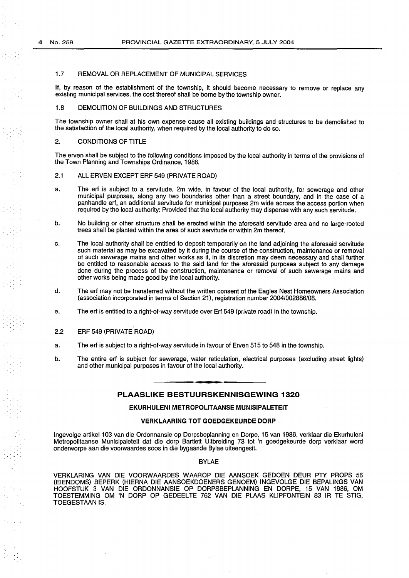#### 1.7 REMOVAL OR REPLACEMENT OF MUNICIPAL SERVICES

If, by reason of the establishment of the township, it should become necessary to remove or replace any existing municipal services, the cost thereof shall be borne by the township owner.

#### 1.8 DEMOLITION OF BUILDINGS AND STRUCTURES

The township owner shall at his own expense cause all existing buildings and structures to be demolished to the satisfaction of the local authority, when required by the local authority to do so.

## 2. CONDITIONS OF TITLE

The erven shall be subject to the following conditions imposed by the local authority in terms of the provisions of the Town Planning and Townships Ordinance, 1986.

#### 2.1 ALL ERVEN EXCEPT ERF 549 (PRIVATE ROAD)

- a. The erf is subject to a servitude, 2m wide, in favour of the local authority, for sewerage and other municipal purposes, along any two boundaries other than a street boundary, and in the case of a panhandle erf, an additional servitude for municipal purposes 2m wide across the access portion when required by the local authority: Provided that the local authority may dispense with any such servitude.
- b. No building or other structure shall be erected within the aforesaid servitude area and no large-rooted trees shall be planted within the area of such servitude or within 2m thereof.
- c. The local authority shall be entitled to deposit temporarily on the land adjoining the aforesaid servitude such material as may be excavated by it during the course of the construction, maintenance or removal of such sewerage mains and other works as it, in its discretion may deem necessary and shall further be entitled to reasonable access to the said land for the aforesaid purposes subject to any damage done during the process of the construction, maintenance or removal of such sewerage mains and other works being made good by the local authority.
- d. The erf may not be transferred without the written consent of the Eagles Nest Homeowners Association (association incorporated in terms of Section 21), registration number 2004/002886/08.
- e. The erf is entitled to a right-of-way servitude over Erf 549 (private road) in the township.
- 2.2 ERF 549 (PRIVATE ROAD)
- a. The erf is subject to a right-of-way servitude in favour of Erven 515 to 548 in the township.
- b. The entire ert is subject for sewerage, water reticulation, electrical purposes (excluding street lights) and other municipal purposes in favour of the local authority.

## **PLAASLIKE BESTUURSKENNISGEWING 1320**

## **EKURHULENI METROPOLITAANSE MUNISIPALETEIT**

#### **VERKLAARING TOT GOEDGEKEURDE DORP**

Ingevolge artikel 103 van die Ordonnansie op Dorpsbeplanning en Dorpe, 15 van 1986, verklaar die Ekurhuleni Metropolitaanse Munisipaleteit dat die dorp Bartlett Uitbreiding 73 tot 'n goedgekeurde dorp verklaar word onderworpe aan die voorwaardes soos in die bygaande Bylae uiteengesit.

## BYLAE

VERKLARING VAN DIE VOORWAARDES WAAROP DIE AANSOEK GEDOEN DEUR PTY PROPS 56 (EIENDOMS) BEPERK (HIERNA DIE AANSOEKDOENERS GENOEM) INGEVOLGE DIE BEPALINGS VAN HOOFSTUK 3 VAN DIE ORDONNANSIE OP DORPSBEPLANNING EN DORPE, 15 VAN 1986, OM TOESTEMMING OM 'N DORP OP GEDEELTE 762 VAN DIE PLAAS KLIPFONTEIN 83 IR TE STIG, TOEGESTAAN IS.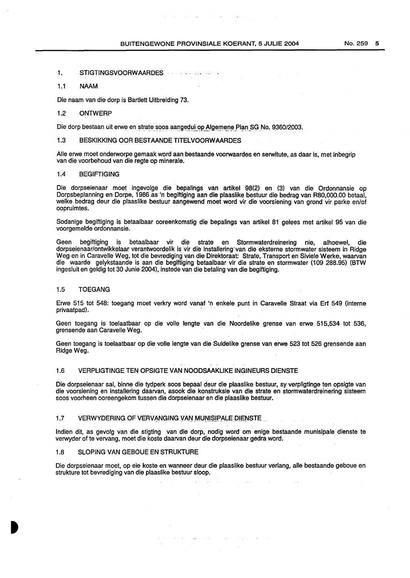**Contractor** 

contractors and

## 1. STIGTINGSVOORWAARDES

#### 1.1 NAAM

Die naam van die dorp is Bartlett Uitbreiding 73.

### 1.2 ONTWERP

Die dorp bestaan uit erwe en strate soos aangedui op Algemene Plan SG No. 9360/2003.

## 1.3 BESKIKKING OOR BESTAANDE TITELVOORWAARDES

Alle erwe moet onderworpe gemaak word aan bestaande voorwaardes en serwitute, as daar is, met inbegrip van die voorbehoud van die regte op minerale.

## 1.4 BEGIFTIGING

Die dorpseienaar moet ingevolge die bepalings van artikel 98(2) en (3) van die Ordonnansie op Dorpsbeplanning en Dorpe, 1986 as 'n begiftiging aan die plaaslike bestuur die bedrag van R80,000.00 betaal, welke bedrag deur die plaaslike bestuur aangewend moet word vir die voorsiening van grand vir parke en/of oopruimtes.

Sodanige begiftiging is betaalbaar ooreenkomstig die bepalings van artikel 81 gelees met artikel 95 van die voorgemelde ordonnansie.

Geen begiftiging is betaalbaar vir die strate en Stormwaterdreinering nie, alhoewel, die dorpseienaar/ontwikkelaar verantwoordelik is vir die lnstallering·van die eksterne stormwater sisteem in Ridge Weg en in Caravella Weg, tot die bevrediging van die Direktoraat: Strate, Transport en Siviele Werke, waarvan die waarde gelykstaande is aan die begiftiging betaalbaar vir die strata en stormwater (109 288.95) (BTW ingesluit en geldig tot 30 Junie 2004), instede van die betaling van die begiftiging.

## 1.5 TOEGANG

Erwe 515 tot 548: toegang meet verkry word vanaf 'n enkele punt in Caravella Straat via Erf 549 (interne privaatpad).

Geen toegang is toelaatbaar op die valle lengte van die Noordelike grense van erwe 515,534 tot 536, grensende aan Caravella Weg.

Geen toegang is toelaatbaar op die valle lengte van die Suidelike grense van erwe 523 tot 526 grensende aan Ridge Weg.

#### 1.6 VERPLIGTINGE TEN OPSIGTE VAN NOODSAAKLIKE INGINEURS DIENSTE

Die dorpseienaar sal, binne die tydperk soos bepaal deur die plaaslike bestuur, sy verpligtinge ten opsigte van die voorsiening en installering daarvan, asook die konstruksie van die strate en stormwaterdreinering sisteem soos voorheen ooreengekom tussen die dorpseienaar en die plaaslike bestuur.

## 1.7 VERWYDERING OF VERVANGING VAN MUNISIPALE DIENSTE

Indien dit, as gevolg van die stigting van die dorp, nodig word om enige bestaande munisipale dienste te verwyder of te vervang, moet die koste daarvan deur die dorpseienaar gedra word.

#### 1.8 SLOPING VAN GEBOUE EN STRUKTURE

Die dorpseienaar moet, op eie koste en wanneer deur die plaaslike bestuur verlang, aile bestaande geboue en strukture tot bevrediging van die plaaslike bestuur sloop.

 $\sim 3.2\%$ 

 $\omega = \omega - \omega$  $\sim 10$ 

and the company of the company of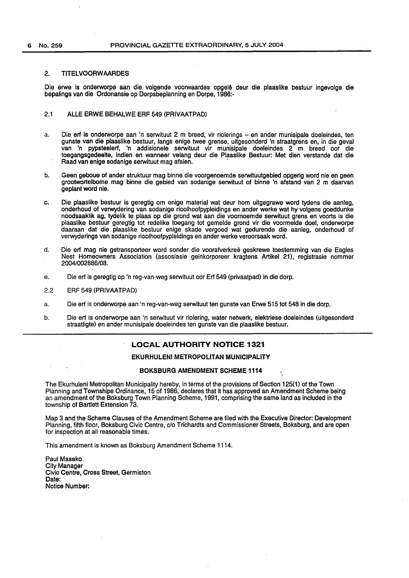#### 2. TITELVOORWAARDES

Die erwe is onderworpe aan die volgende voorwaardes opgel6 deur die plaaslike bestuur ingevolge die bepalings van die Ordonansie op Dorpsbeplanning en Dorpe, 1986:-

## 2.1 ALLE ERWE BEHALWE ERF 549 (PRIVAATPAD)

- a. Die erf is onderworpe aan 'n serwituut 2 m breed, vir riolerings en ander munisipale doeleindes, ten gunste van die plaaslike bestuur, langs enige twee grense, uitgesonderd 'n straatgrens en, in die geval van 'n pypsteelerf, 'n addisionele serwituut vir munisipale doeleindes 2 m breed oor die toegangsgedeelte, indian en wanneer velang deur die Plaaslike Bestuur: Met dian verstande dat die Raad van enige sodanige serwituut mag afsien. ·
- b. Geen geboue of ander struktuur mag binne die voorgenoemde serwituutgebied opgerig word nie en geen grootwortelbome mag binne die gebied van sodanige serwituut of binne 'n afstand van 2 m daarvan geplant word nie.
- c. Die plaaslike bestuur is geregtig om enige material wat deur hom uitgegrawe word tydens die aanleg, onderhoud of verwydering van sodanige rioolhoofpypleidings en ander werke wat hy volgens goeddunke noodsaaklik ag,. tydelik te plaas op die grond wat aan die voornoemde serwituut grens en voorts is die plaaslike bestuur geregtig tot redelike toegang tot gemelde grand vir die voormelde doel, onderworpe daaraan dat die plaaslike bestuur enige skade vergoed wat gedurende die aanleg, onderhoud of verwyderings van sodanige rioolhoofpypleidings en ander werke veroorsaak word.
- d. Die erf mag nie getransporteer word sonder die voorafverkreë geskrewe toestemming van die Eagles Nest Homeowners Association (assosiasie geinkorporeer kragtens Artikel 21), registrasie nommer 2004/002886/08.
- e. Die erf is geregtig op 'n reg-van-weg serwituut oar Erf 549 (privaatpad) in die dorp.
- 2.2 ERF 549 (PRIVAATPAD)
- a. Die erf is onderworpe aan 'n reg-van-weg serwituut ten gunste van Erwe 515 tot 548 in die dorp.
- b. Die erf is onderworpe aan 'n serwituut vir riolering, water netwerk, elektriese doeleindes (uitgesonderd straatligte) en ander munisipale doeleindes ten gunste van die plaaslike bestuur.

## LOCAL AUTHORITY NOTICE 1321

## EKURHULENI METROPOLITAN MUNICIPALITY

#### BOKSBURG AMENDMENT SCHEME 1114

The Ekurhuleni Metropolitan Municipality hereby, in terms of the provisions of Section 125(1) of the Town Planning and Townships Ordinance, 15 of 1986, declares that it has approved an Amendment Scheme being an amendment of the Boksburg Town Planning Scheme, 1991, comprising the same land as included in the township of Bartlett Extension 73.

Map 3 and the Scheme Clauses of the Amendment Scheme are filed with the Executive Director: Development Planning, fifth floor, Boksburg Civic Centre, c/o Trichardts and Commissioner Streets, Boksburg, and are open for inspection at all reasonable times.

This amendment is known as Boksburg Amendment Scheme 1114.

Paul Maseko City Manager . Civic Centre, Cross Street, Germiston Date: Notice Number: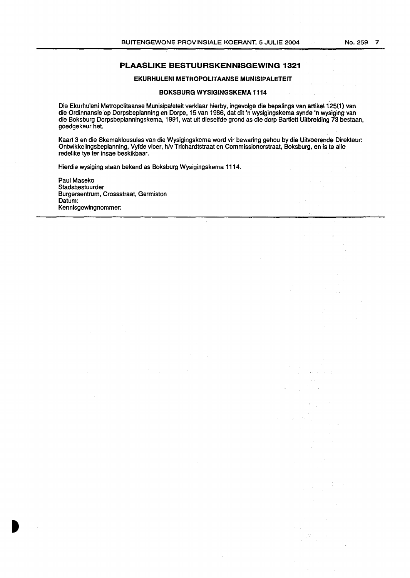## **PLAASLIKE BESTUURSKENNISGEWING 1321**

## **EKURHULENI METROPOLITAANSE MUNISIPALETEIT**

## **BOKSBURG WYSIGINGSKEMA 1114**

Die Ekurhuleni Metropolitaanse Munisipaleteit verklaar hierby, ingevolge die bepalings van artikel 125(1) van die Ordinnansie op Dorpsbeplanning en Dorpe, 15 van 1986, dat dit 'n wysigingskema synde 'n wysiging van die Boksburg Dorpsbeplanningskema, 1991, wat uit dieselfde grand as die dorp Bartlett Uitbreiding 73 bestaan, goedgekeur het.

Kaart 3 en die Skemaklousules van die Wysigingskema word vir bewaring gehou by die Uitvoerende Direkteur: Ontwikkelingsbeplanning, Vyfde vloer, hlv Trichardtstraat en Commissionerstraat, Boksburg, en is te aile redelike tye ter insae beskikbaar.

Hierdie wysiging staan bekend as Boksburg Wysigingskema 1114.

Paul Maseko Stadsbestuurder Burgersentrum, Crossstraat, Germiston Datum: Kennisgewingnommer: